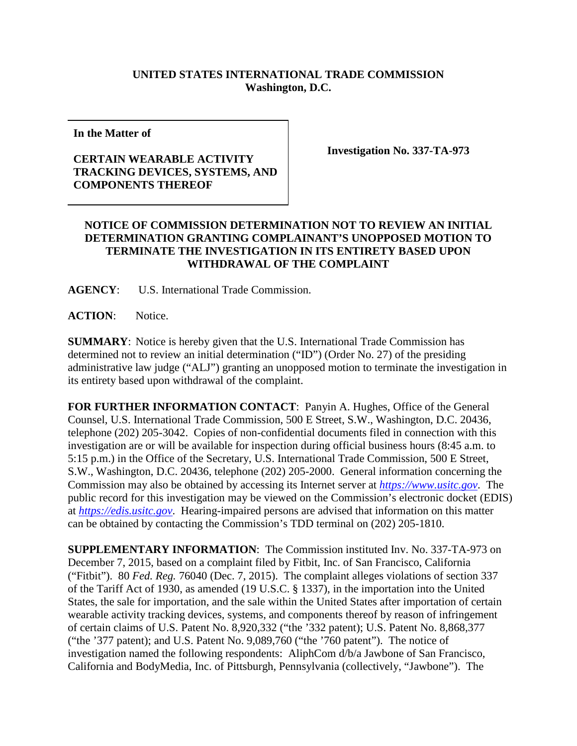## **UNITED STATES INTERNATIONAL TRADE COMMISSION Washington, D.C.**

**In the Matter of**

## **CERTAIN WEARABLE ACTIVITY TRACKING DEVICES, SYSTEMS, AND COMPONENTS THEREOF**

**Investigation No. 337-TA-973**

## **NOTICE OF COMMISSION DETERMINATION NOT TO REVIEW AN INITIAL DETERMINATION GRANTING COMPLAINANT'S UNOPPOSED MOTION TO TERMINATE THE INVESTIGATION IN ITS ENTIRETY BASED UPON WITHDRAWAL OF THE COMPLAINT**

**AGENCY**: U.S. International Trade Commission.

**ACTION**: Notice.

**SUMMARY**: Notice is hereby given that the U.S. International Trade Commission has determined not to review an initial determination ("ID") (Order No. 27) of the presiding administrative law judge ("ALJ") granting an unopposed motion to terminate the investigation in its entirety based upon withdrawal of the complaint.

**FOR FURTHER INFORMATION CONTACT**: Panyin A. Hughes, Office of the General Counsel, U.S. International Trade Commission, 500 E Street, S.W., Washington, D.C. 20436, telephone (202) 205-3042. Copies of non-confidential documents filed in connection with this investigation are or will be available for inspection during official business hours (8:45 a.m. to 5:15 p.m.) in the Office of the Secretary, U.S. International Trade Commission, 500 E Street, S.W., Washington, D.C. 20436, telephone (202) 205-2000. General information concerning the Commission may also be obtained by accessing its Internet server at *[https://www.usitc.gov](https://www.usitc.gov/)*. The public record for this investigation may be viewed on the Commission's electronic docket (EDIS) at *[https://edis.usitc.gov](https://edis.usitc.gov/)*. Hearing-impaired persons are advised that information on this matter can be obtained by contacting the Commission's TDD terminal on (202) 205-1810.

**SUPPLEMENTARY INFORMATION**: The Commission instituted Inv. No. 337-TA-973 on December 7, 2015, based on a complaint filed by Fitbit, Inc. of San Francisco, California ("Fitbit"). 80 *Fed. Reg.* 76040 (Dec. 7, 2015). The complaint alleges violations of section 337 of the Tariff Act of 1930, as amended (19 U.S.C. § 1337), in the importation into the United States, the sale for importation, and the sale within the United States after importation of certain wearable activity tracking devices, systems, and components thereof by reason of infringement of certain claims of U.S. Patent No. 8,920,332 ("the '332 patent); U.S. Patent No. 8,868,377 ("the '377 patent); and U.S. Patent No. 9,089,760 ("the '760 patent"). The notice of investigation named the following respondents: AliphCom d/b/a Jawbone of San Francisco, California and BodyMedia, Inc. of Pittsburgh, Pennsylvania (collectively, "Jawbone"). The